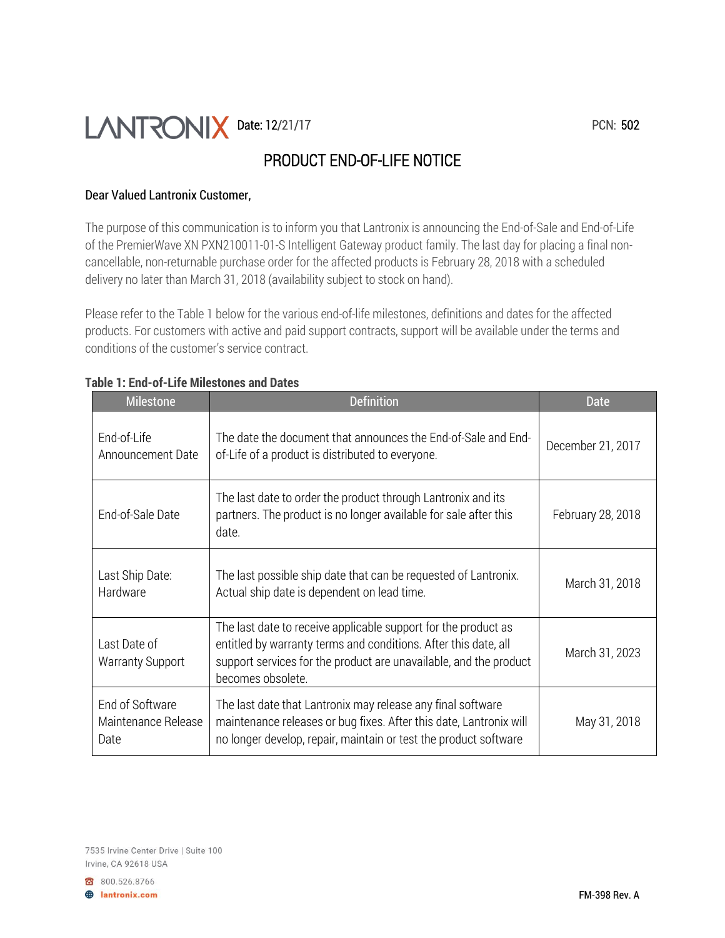# Date: 12/21/17 PCN: 502

# PRODUCT END-OF-LIFE NOTICE

# Dear Valued Lantronix Customer,

The purpose of this communication is to inform you that Lantronix is announcing the End-of-Sale and End-of-Life of the PremierWave XN PXN210011-01-S Intelligent Gateway product family. The last day for placing a final noncancellable, non-returnable purchase order for the affected products is February 28, 2018 with a scheduled delivery no later than March 31, 2018 (availability subject to stock on hand).

Please refer to the Table 1 below for the various end-of-life milestones, definitions and dates for the affected products. For customers with active and paid support contracts, support will be available under the terms and conditions of the customer's service contract.

| <b>Milestone</b>                               | <b>Definition</b>                                                                                                                                                                                                           | Date              |
|------------------------------------------------|-----------------------------------------------------------------------------------------------------------------------------------------------------------------------------------------------------------------------------|-------------------|
| End-of-Life<br>Announcement Date               | The date the document that announces the End-of-Sale and End-<br>of-Life of a product is distributed to everyone.                                                                                                           | December 21, 2017 |
| End-of-Sale Date                               | The last date to order the product through Lantronix and its<br>partners. The product is no longer available for sale after this<br>date.                                                                                   | February 28, 2018 |
| Last Ship Date:<br>Hardware                    | The last possible ship date that can be requested of Lantronix.<br>Actual ship date is dependent on lead time.                                                                                                              | March 31, 2018    |
| Last Date of<br><b>Warranty Support</b>        | The last date to receive applicable support for the product as<br>entitled by warranty terms and conditions. After this date, all<br>support services for the product are unavailable, and the product<br>becomes obsolete. | March 31, 2023    |
| End of Software<br>Maintenance Release<br>Date | The last date that Lantronix may release any final software<br>maintenance releases or bug fixes. After this date, Lantronix will<br>no longer develop, repair, maintain or test the product software                       | May 31, 2018      |

#### **Table 1: End-of-Life Milestones and Dates**

7535 Irvine Center Drive | Suite 100 Irvine, CA 92618 USA

800.526.8766 **B** lantronix.com